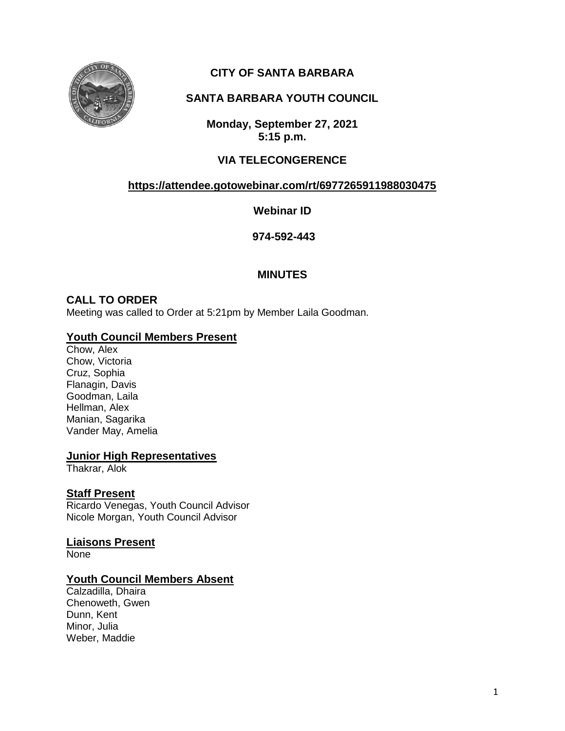

# **CITY OF SANTA BARBARA**

# **SANTA BARBARA YOUTH COUNCIL**

**Monday, September 27, 2021 5:15 p.m.**

# **VIA TELECONGERENCE**

# **<https://attendee.gotowebinar.com/rt/6977265911988030475>**

**Webinar ID**

**974-592-443**

# **MINUTES**

# **CALL TO ORDER**

Meeting was called to Order at 5:21pm by Member Laila Goodman.

# **Youth Council Members Present**

Chow, Alex Chow, Victoria Cruz, Sophia Flanagin, Davis Goodman, Laila Hellman, Alex Manian, Sagarika Vander May, Amelia

# **Junior High Representatives**

Thakrar, Alok

# **Staff Present**

Ricardo Venegas, Youth Council Advisor Nicole Morgan, Youth Council Advisor

**Liaisons Present**

None

# **Youth Council Members Absent**

Calzadilla, Dhaira Chenoweth, Gwen Dunn, Kent Minor, Julia Weber, Maddie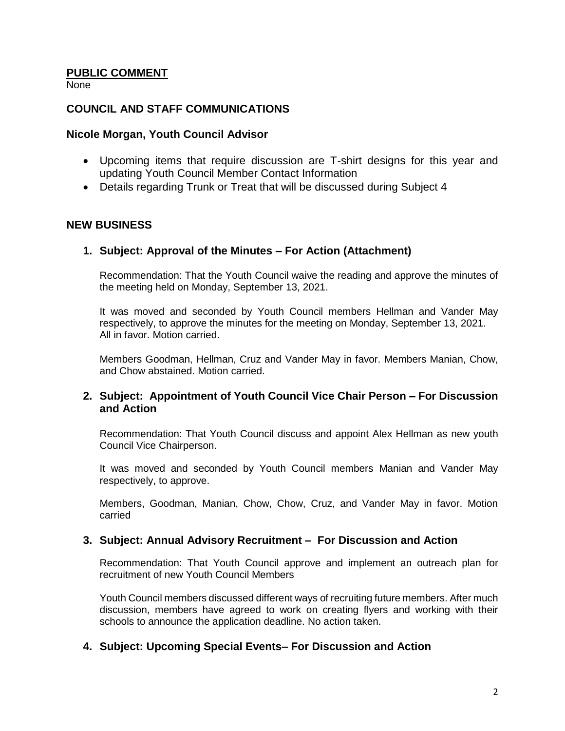#### **PUBLIC COMMENT**

None

### **COUNCIL AND STAFF COMMUNICATIONS**

#### **Nicole Morgan, Youth Council Advisor**

- Upcoming items that require discussion are T-shirt designs for this year and updating Youth Council Member Contact Information
- Details regarding Trunk or Treat that will be discussed during Subject 4

#### **NEW BUSINESS**

#### **1. Subject: Approval of the Minutes – For Action (Attachment)**

Recommendation: That the Youth Council waive the reading and approve the minutes of the meeting held on Monday, September 13, 2021.

It was moved and seconded by Youth Council members Hellman and Vander May respectively, to approve the minutes for the meeting on Monday, September 13, 2021. All in favor. Motion carried.

Members Goodman, Hellman, Cruz and Vander May in favor. Members Manian, Chow, and Chow abstained. Motion carried.

#### **2. Subject: Appointment of Youth Council Vice Chair Person – For Discussion and Action**

Recommendation: That Youth Council discuss and appoint Alex Hellman as new youth Council Vice Chairperson.

It was moved and seconded by Youth Council members Manian and Vander May respectively, to approve.

Members, Goodman, Manian, Chow, Chow, Cruz, and Vander May in favor. Motion carried

#### **3. Subject: Annual Advisory Recruitment – For Discussion and Action**

Recommendation: That Youth Council approve and implement an outreach plan for recruitment of new Youth Council Members

Youth Council members discussed different ways of recruiting future members. After much discussion, members have agreed to work on creating flyers and working with their schools to announce the application deadline. No action taken.

# **4. Subject: Upcoming Special Events– For Discussion and Action**